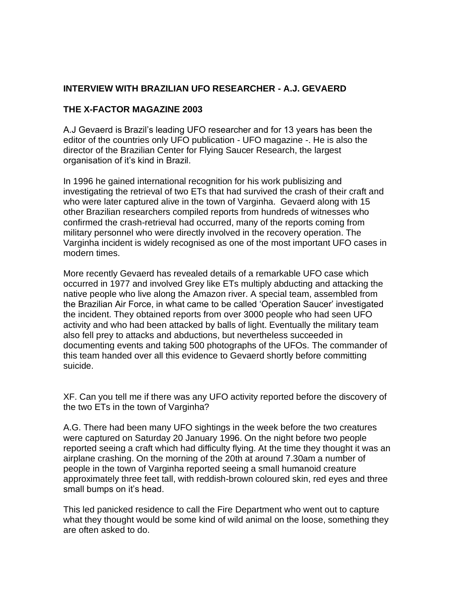# **INTERVIEW WITH BRAZILIAN UFO RESEARCHER - A.J. GEVAERD**

### **THE X-FACTOR MAGAZINE 2003**

A.J Gevaerd is Brazil's leading UFO researcher and for 13 years has been the editor of the countries only UFO publication - UFO magazine -. He is also the director of the Brazilian Center for Flying Saucer Research, the largest organisation of it's kind in Brazil.

In 1996 he gained international recognition for his work publisizing and investigating the retrieval of two ETs that had survived the crash of their craft and who were later captured alive in the town of Varginha. Gevaerd along with 15 other Brazilian researchers compiled reports from hundreds of witnesses who confirmed the crash-retrieval had occurred, many of the reports coming from military personnel who were directly involved in the recovery operation. The Varginha incident is widely recognised as one of the most important UFO cases in modern times.

More recently Gevaerd has revealed details of a remarkable UFO case which occurred in 1977 and involved Grey like ETs multiply abducting and attacking the native people who live along the Amazon river. A special team, assembled from the Brazilian Air Force, in what came to be called 'Operation Saucer' investigated the incident. They obtained reports from over 3000 people who had seen UFO activity and who had been attacked by balls of light. Eventually the military team also fell prey to attacks and abductions, but nevertheless succeeded in documenting events and taking 500 photographs of the UFOs. The commander of this team handed over all this evidence to Gevaerd shortly before committing suicide.

XF. Can you tell me if there was any UFO activity reported before the discovery of the two ETs in the town of Varginha?

A.G. There had been many UFO sightings in the week before the two creatures were captured on Saturday 20 January 1996. On the night before two people reported seeing a craft which had difficulty flying. At the time they thought it was an airplane crashing. On the morning of the 20th at around 7.30am a number of people in the town of Varginha reported seeing a small humanoid creature approximately three feet tall, with reddish-brown coloured skin, red eyes and three small bumps on it's head.

This led panicked residence to call the Fire Department who went out to capture what they thought would be some kind of wild animal on the loose, something they are often asked to do.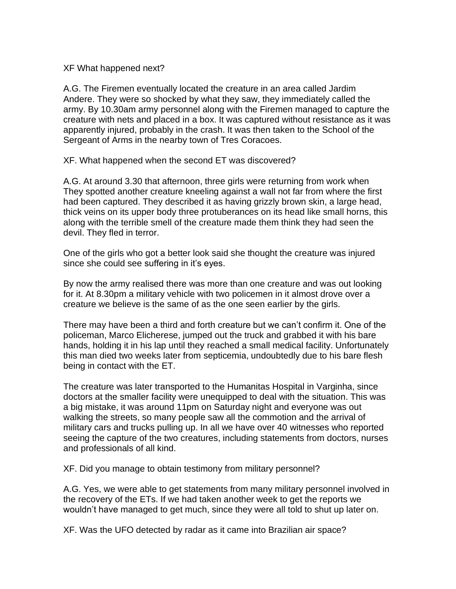XF What happened next?

A.G. The Firemen eventually located the creature in an area called Jardim Andere. They were so shocked by what they saw, they immediately called the army. By 10.30am army personnel along with the Firemen managed to capture the creature with nets and placed in a box. It was captured without resistance as it was apparently injured, probably in the crash. It was then taken to the School of the Sergeant of Arms in the nearby town of Tres Coracoes.

XF. What happened when the second ET was discovered?

A.G. At around 3.30 that afternoon, three girls were returning from work when They spotted another creature kneeling against a wall not far from where the first had been captured. They described it as having grizzly brown skin, a large head, thick veins on its upper body three protuberances on its head like small horns, this along with the terrible smell of the creature made them think they had seen the devil. They fled in terror.

One of the girls who got a better look said she thought the creature was injured since she could see suffering in it's eyes.

By now the army realised there was more than one creature and was out looking for it. At 8.30pm a military vehicle with two policemen in it almost drove over a creature we believe is the same of as the one seen earlier by the girls.

There may have been a third and forth creature but we can't confirm it. One of the policeman, Marco Elicherese, jumped out the truck and grabbed it with his bare hands, holding it in his lap until they reached a small medical facility. Unfortunately this man died two weeks later from septicemia, undoubtedly due to his bare flesh being in contact with the ET.

The creature was later transported to the Humanitas Hospital in Varginha, since doctors at the smaller facility were unequipped to deal with the situation. This was a big mistake, it was around 11pm on Saturday night and everyone was out walking the streets, so many people saw all the commotion and the arrival of military cars and trucks pulling up. In all we have over 40 witnesses who reported seeing the capture of the two creatures, including statements from doctors, nurses and professionals of all kind.

XF. Did you manage to obtain testimony from military personnel?

A.G. Yes, we were able to get statements from many military personnel involved in the recovery of the ETs. If we had taken another week to get the reports we wouldn't have managed to get much, since they were all told to shut up later on.

XF. Was the UFO detected by radar as it came into Brazilian air space?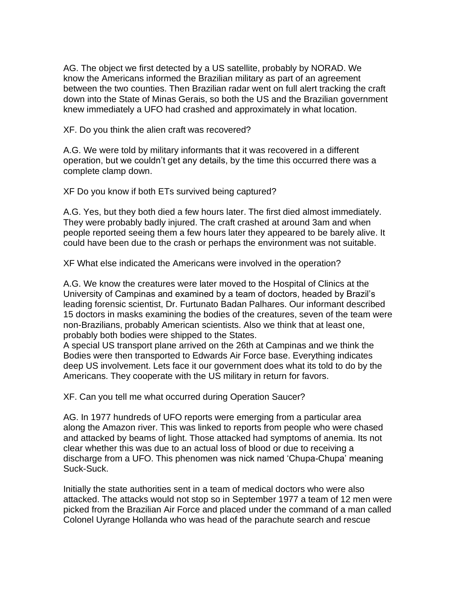AG. The object we first detected by a US satellite, probably by NORAD. We know the Americans informed the Brazilian military as part of an agreement between the two counties. Then Brazilian radar went on full alert tracking the craft down into the State of Minas Gerais, so both the US and the Brazilian government knew immediately a UFO had crashed and approximately in what location.

XF. Do you think the alien craft was recovered?

A.G. We were told by military informants that it was recovered in a different operation, but we couldn't get any details, by the time this occurred there was a complete clamp down.

XF Do you know if both ETs survived being captured?

A.G. Yes, but they both died a few hours later. The first died almost immediately. They were probably badly injured. The craft crashed at around 3am and when people reported seeing them a few hours later they appeared to be barely alive. It could have been due to the crash or perhaps the environment was not suitable.

XF What else indicated the Americans were involved in the operation?

A.G. We know the creatures were later moved to the Hospital of Clinics at the University of Campinas and examined by a team of doctors, headed by Brazil's leading forensic scientist, Dr. Furtunato Badan Palhares. Our informant described 15 doctors in masks examining the bodies of the creatures, seven of the team were non-Brazilians, probably American scientists. Also we think that at least one, probably both bodies were shipped to the States.

A special US transport plane arrived on the 26th at Campinas and we think the Bodies were then transported to Edwards Air Force base. Everything indicates deep US involvement. Lets face it our government does what its told to do by the Americans. They cooperate with the US military in return for favors.

XF. Can you tell me what occurred during Operation Saucer?

AG. In 1977 hundreds of UFO reports were emerging from a particular area along the Amazon river. This was linked to reports from people who were chased and attacked by beams of light. Those attacked had symptoms of anemia. Its not clear whether this was due to an actual loss of blood or due to receiving a discharge from a UFO. This phenomen was nick named 'Chupa-Chupa' meaning Suck-Suck.

Initially the state authorities sent in a team of medical doctors who were also attacked. The attacks would not stop so in September 1977 a team of 12 men were picked from the Brazilian Air Force and placed under the command of a man called Colonel Uyrange Hollanda who was head of the parachute search and rescue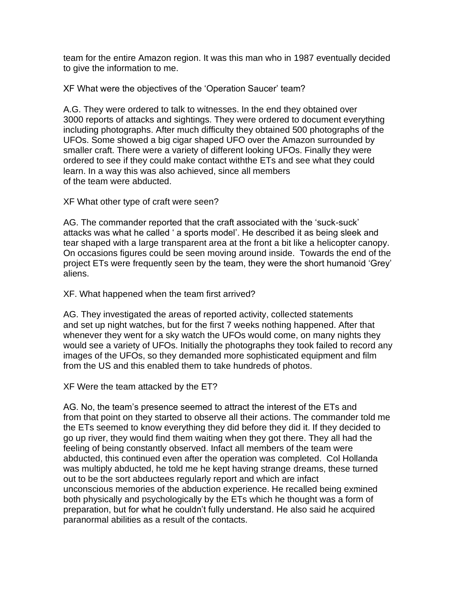team for the entire Amazon region. It was this man who in 1987 eventually decided to give the information to me.

XF What were the objectives of the 'Operation Saucer' team?

A.G. They were ordered to talk to witnesses. In the end they obtained over 3000 reports of attacks and sightings. They were ordered to document everything including photographs. After much difficulty they obtained 500 photographs of the UFOs. Some showed a big cigar shaped UFO over the Amazon surrounded by smaller craft. There were a variety of different looking UFOs. Finally they were ordered to see if they could make contact withthe ETs and see what they could learn. In a way this was also achieved, since all members of the team were abducted.

XF What other type of craft were seen?

AG. The commander reported that the craft associated with the 'suck-suck' attacks was what he called ' a sports model'. He described it as being sleek and tear shaped with a large transparent area at the front a bit like a helicopter canopy. On occasions figures could be seen moving around inside. Towards the end of the project ETs were frequently seen by the team, they were the short humanoid 'Grey' aliens.

XF. What happened when the team first arrived?

AG. They investigated the areas of reported activity, collected statements and set up night watches, but for the first 7 weeks nothing happened. After that whenever they went for a sky watch the UFOs would come, on many nights they would see a variety of UFOs. Initially the photographs they took failed to record any images of the UFOs, so they demanded more sophisticated equipment and film from the US and this enabled them to take hundreds of photos.

XF Were the team attacked by the ET?

AG. No, the team's presence seemed to attract the interest of the ETs and from that point on they started to observe all their actions. The commander told me the ETs seemed to know everything they did before they did it. If they decided to go up river, they would find them waiting when they got there. They all had the feeling of being constantly observed. Infact all members of the team were abducted, this continued even after the operation was completed. Col Hollanda was multiply abducted, he told me he kept having strange dreams, these turned out to be the sort abductees regularly report and which are infact unconscious memories of the abduction experience. He recalled being exmined both physically and psychologically by the ETs which he thought was a form of preparation, but for what he couldn't fully understand. He also said he acquired paranormal abilities as a result of the contacts.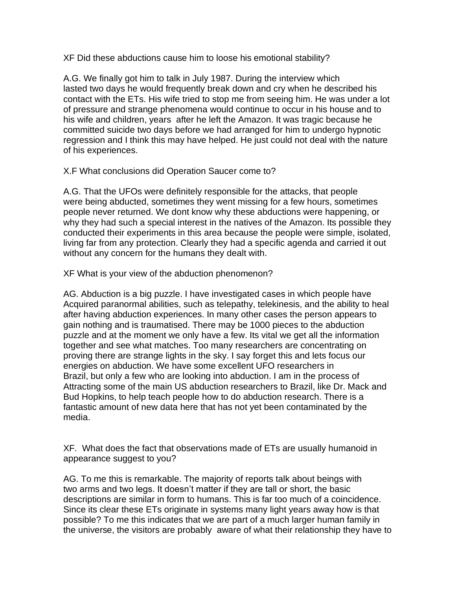XF Did these abductions cause him to loose his emotional stability?

A.G. We finally got him to talk in July 1987. During the interview which lasted two days he would frequently break down and cry when he described his contact with the ETs. His wife tried to stop me from seeing him. He was under a lot of pressure and strange phenomena would continue to occur in his house and to his wife and children, years after he left the Amazon. It was tragic because he committed suicide two days before we had arranged for him to undergo hypnotic regression and I think this may have helped. He just could not deal with the nature of his experiences.

X.F What conclusions did Operation Saucer come to?

A.G. That the UFOs were definitely responsible for the attacks, that people were being abducted, sometimes they went missing for a few hours, sometimes people never returned. We dont know why these abductions were happening, or why they had such a special interest in the natives of the Amazon. Its possible they conducted their experiments in this area because the people were simple, isolated, living far from any protection. Clearly they had a specific agenda and carried it out without any concern for the humans they dealt with.

XF What is your view of the abduction phenomenon?

AG. Abduction is a big puzzle. I have investigated cases in which people have Acquired paranormal abilities, such as telepathy, telekinesis, and the ability to heal after having abduction experiences. In many other cases the person appears to gain nothing and is traumatised. There may be 1000 pieces to the abduction puzzle and at the moment we only have a few. Its vital we get all the information together and see what matches. Too many researchers are concentrating on proving there are strange lights in the sky. I say forget this and lets focus our energies on abduction. We have some excellent UFO researchers in Brazil, but only a few who are looking into abduction. I am in the process of Attracting some of the main US abduction researchers to Brazil, like Dr. Mack and Bud Hopkins, to help teach people how to do abduction research. There is a fantastic amount of new data here that has not yet been contaminated by the media.

XF. What does the fact that observations made of ETs are usually humanoid in appearance suggest to you?

AG. To me this is remarkable. The majority of reports talk about beings with two arms and two legs. It doesn't matter if they are tall or short, the basic descriptions are similar in form to humans. This is far too much of a coincidence. Since its clear these ETs originate in systems many light years away how is that possible? To me this indicates that we are part of a much larger human family in the universe, the visitors are probably aware of what their relationship they have to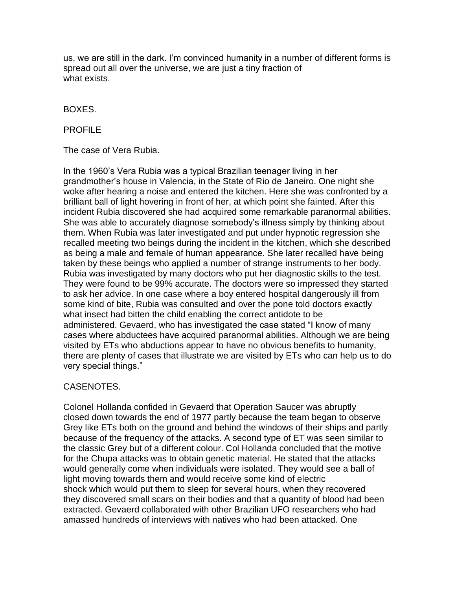us, we are still in the dark. I'm convinced humanity in a number of different forms is spread out all over the universe, we are just a tiny fraction of what exists.

#### BOXES.

### PROFILE

The case of Vera Rubia.

In the 1960's Vera Rubia was a typical Brazilian teenager living in her grandmother's house in Valencia, in the State of Rio de Janeiro. One night she woke after hearing a noise and entered the kitchen. Here she was confronted by a brilliant ball of light hovering in front of her, at which point she fainted. After this incident Rubia discovered she had acquired some remarkable paranormal abilities. She was able to accurately diagnose somebody's illness simply by thinking about them. When Rubia was later investigated and put under hypnotic regression she recalled meeting two beings during the incident in the kitchen, which she described as being a male and female of human appearance. She later recalled have being taken by these beings who applied a number of strange instruments to her body. Rubia was investigated by many doctors who put her diagnostic skills to the test. They were found to be 99% accurate. The doctors were so impressed they started to ask her advice. In one case where a boy entered hospital dangerously ill from some kind of bite, Rubia was consulted and over the pone told doctors exactly what insect had bitten the child enabling the correct antidote to be administered. Gevaerd, who has investigated the case stated "I know of many cases where abductees have acquired paranormal abilities. Although we are being visited by ETs who abductions appear to have no obvious benefits to humanity, there are plenty of cases that illustrate we are visited by ETs who can help us to do very special things."

# CASENOTES.

Colonel Hollanda confided in Gevaerd that Operation Saucer was abruptly closed down towards the end of 1977 partly because the team began to observe Grey like ETs both on the ground and behind the windows of their ships and partly because of the frequency of the attacks. A second type of ET was seen similar to the classic Grey but of a different colour. Col Hollanda concluded that the motive for the Chupa attacks was to obtain genetic material. He stated that the attacks would generally come when individuals were isolated. They would see a ball of light moving towards them and would receive some kind of electric shock which would put them to sleep for several hours, when they recovered they discovered small scars on their bodies and that a quantity of blood had been extracted. Gevaerd collaborated with other Brazilian UFO researchers who had amassed hundreds of interviews with natives who had been attacked. One